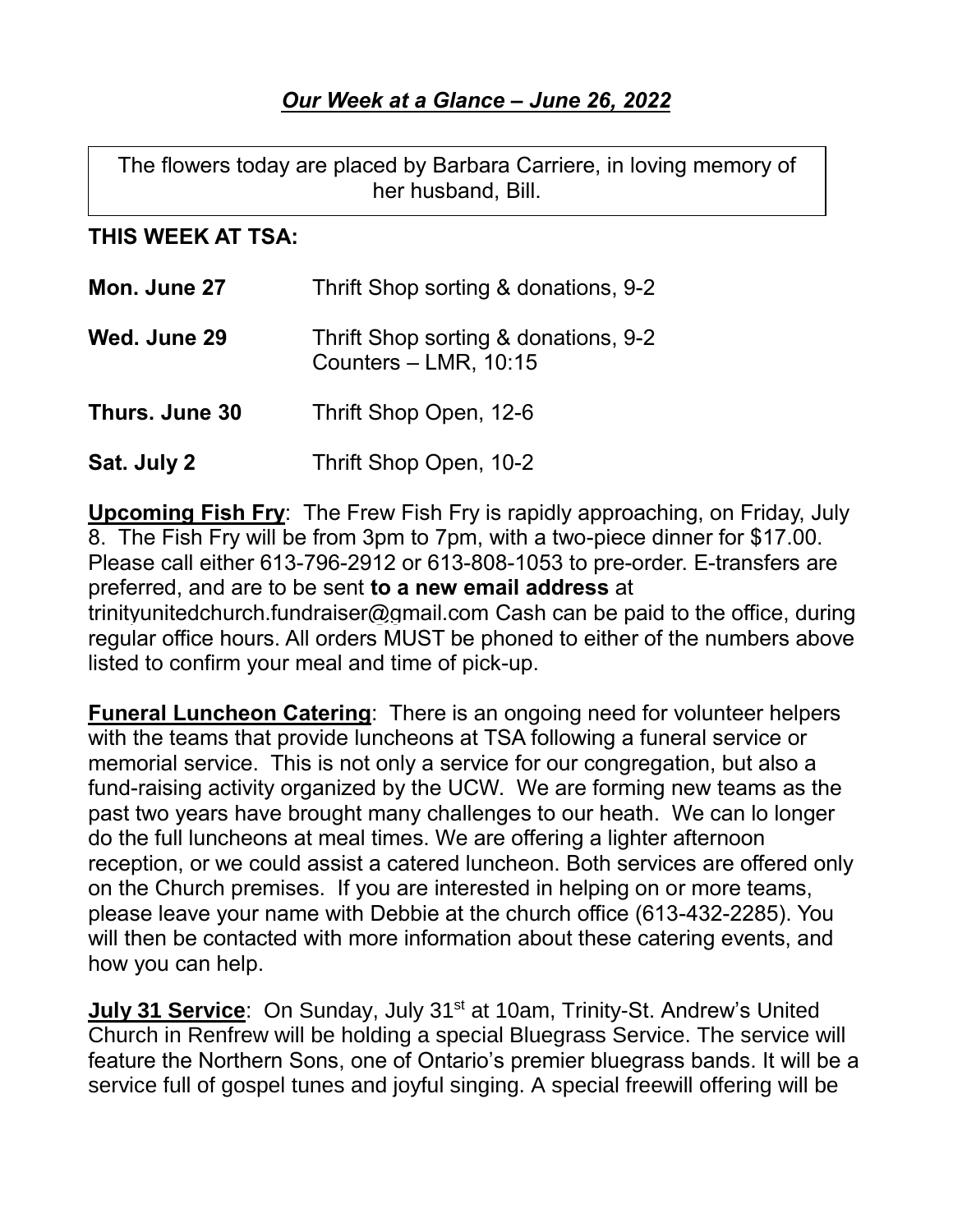The flowers today are placed by Barbara Carriere, in loving memory of her husband, Bill.

## **THIS WEEK AT TSA:**

| Mon. June 27   | Thrift Shop sorting & donations, 9-2                            |
|----------------|-----------------------------------------------------------------|
| Wed. June 29   | Thrift Shop sorting & donations, 9-2<br>Counters $-$ LMR, 10:15 |
| Thurs. June 30 | Thrift Shop Open, 12-6                                          |
| Sat. July 2    | Thrift Shop Open, 10-2                                          |

**Upcoming Fish Fry**: The Frew Fish Fry is rapidly approaching, on Friday, July 8. The Fish Fry will be from 3pm to 7pm, with a two-piece dinner for \$17.00. Please call either 613-796-2912 or 613-808-1053 to pre-order. E-transfers are preferred, and are to be sent **to a new email address** at [trinityunitedchurch.fundraiser@gmail.com](mailto:trinityunitedchurch.fundraiser@gmail.com) Cash can be paid to the office, during regular office hours. All orders MUST be phoned to either of the numbers above listed to confirm your meal and time of pick-up.

**Funeral Luncheon Catering**: There is an ongoing need for volunteer helpers with the teams that provide luncheons at TSA following a funeral service or memorial service. This is not only a service for our congregation, but also a fund-raising activity organized by the UCW. We are forming new teams as the past two years have brought many challenges to our heath. We can lo longer do the full luncheons at meal times. We are offering a lighter afternoon reception, or we could assist a catered luncheon. Both services are offered only on the Church premises. If you are interested in helping on or more teams, please leave your name with Debbie at the church office (613-432-2285). You will then be contacted with more information about these catering events, and how you can help.

**July 31 Service:** On Sunday, July 31<sup>st</sup> at 10am, Trinity-St. Andrew's United Church in Renfrew will be holding a special Bluegrass Service. The service will feature the Northern Sons, one of Ontario's premier bluegrass bands. It will be a service full of gospel tunes and joyful singing. A special freewill offering will be